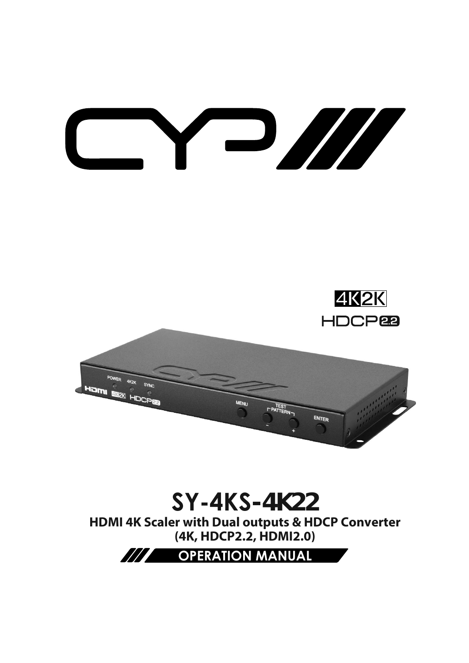

# **SY-4KS-4K22** HDMI 4K Scaler with Dual outputs & HDCP Converter (4K, HDCP2.2, HDMI2.0)

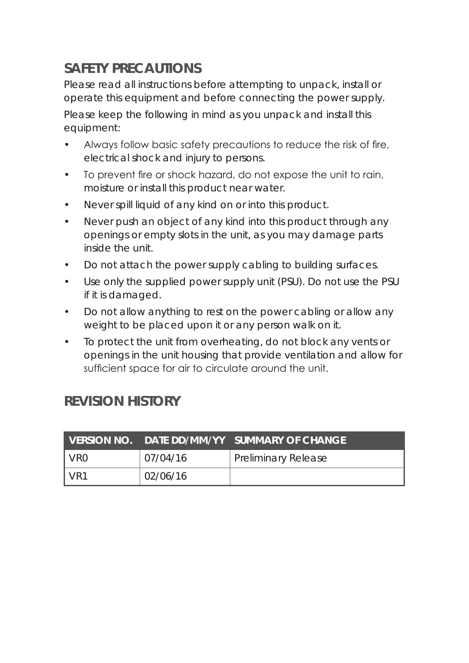## **SAFETY PRECAUTIONS**

Please read all instructions before attempting to unpack, install or operate this equipment and before connecting the power supply. Please keep the following in mind as you unpack and install this equipment:

- Always follow basic safety precautions to reduce the risk of fire, electrical shock and injury to persons.
- To prevent fire or shock hazard, do not expose the unit to rain, moisture or install this product near water.
- Never spill liquid of any kind on or into this product.
- Never push an object of any kind into this product through any openings or empty slots in the unit, as you may damage parts inside the unit.
- Do not attach the power supply cabling to building surfaces.
- Use only the supplied power supply unit (PSU). Do not use the PSU if it is damaged.
- Do not allow anything to rest on the power cabling or allow any weight to be placed upon it or any person walk on it.
- To protect the unit from overheating, do not block any vents or openings in the unit housing that provide ventilation and allow for sufficient space for air to circulate around the unit.

## **REVISION HISTORY**

|                 |          | VERSION NO. DATE DD/MM/YY SUMMARY OF CHANGE |
|-----------------|----------|---------------------------------------------|
| VR <sub>0</sub> | 07/04/16 | <b>Preliminary Release</b>                  |
| VR1             | 02/06/16 |                                             |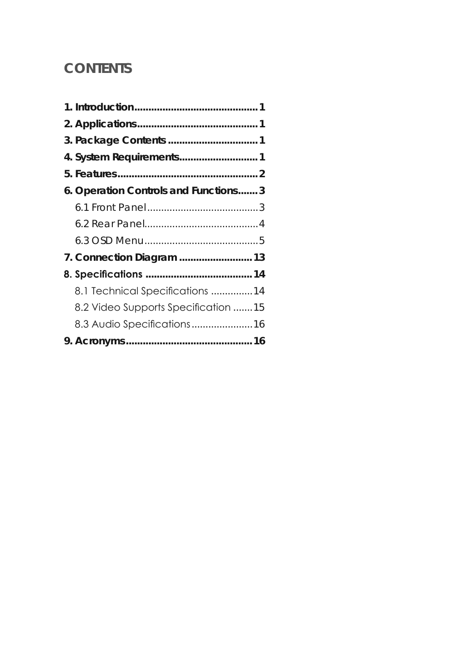## **CONTENTS**

| 6. Operation Controls and Functions 3 |  |
|---------------------------------------|--|
|                                       |  |
|                                       |  |
|                                       |  |
| 7. Connection Diagram  13             |  |
|                                       |  |
| 8.1 Technical Specifications 14       |  |
| 8.2 Video Supports Specification 15   |  |
| 8.3 Audio Specifications 16           |  |
|                                       |  |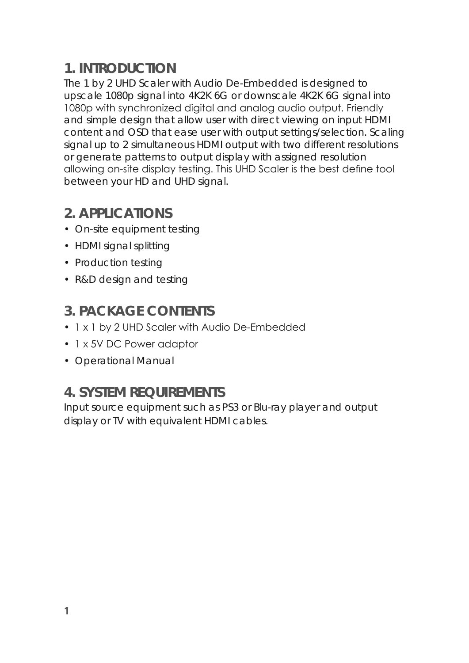### **1. INTRODUCTION**

The 1 by 2 UHD Scaler with Audio De-Embedded is designed to upscale 1080p signal into 4K2K 6G or downscale 4K2K 6G signal into 1080p with synchronized digital and analog audio output. Friendly and simple design that allow user with direct viewing on input HDMI content and OSD that ease user with output settings/selection. Scaling signal up to 2 simultaneous HDMI output with two different resolutions or generate patterns to output display with assigned resolution allowing on-site display testing. This UHD Scaler is the best define tool between your HD and UHD signal.

## **2. APPLICATIONS**

- On-site equipment testing
- HDMI signal splitting
- Production testing
- R&D design and testing

## **3. PACKAGE CONTENTS**

- 1 x 1 by 2 UHD Scaler with Audio De-Embedded
- 1 x 5V DC Power adaptor
- Operational Manual

## **4. SYSTEM REQUIREMENTS**

Input source equipment such as PS3 or Blu-ray player and output display or TV with equivalent HDMI cables.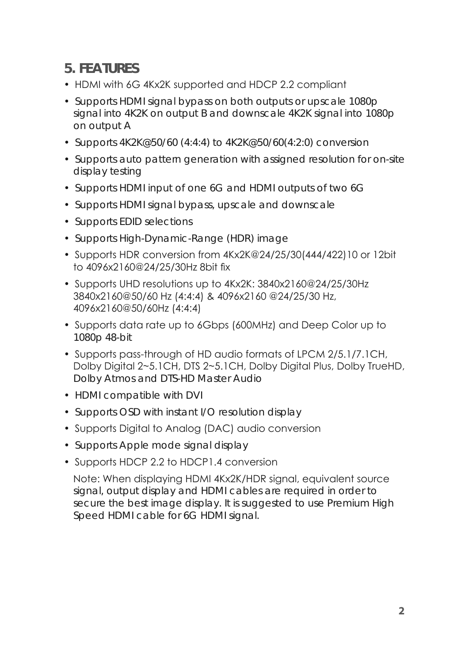## **5. FEATURES**

- HDMI with 6G 4Kx2K supported and HDCP 2.2 compliant
- Supports HDMI signal bypass on both outputs or upscale 1080p signal into 4K2K on output B and downscale 4K2K signal into 1080p on output A
- Supports 4K2K@50/60 (4:4:4) to 4K2K@50/60(4:2:0) conversion
- Supports auto pattern generation with assigned resolution for on-site display testing
- Supports HDMI input of one 6G and HDMI outputs of two 6G
- Supports HDMI signal bypass, upscale and downscale
- Supports EDID selections
- Supports High-Dynamic-Range (HDR) image
- Supports HDR conversion from 4Kx2K@24/25/30(444/422)10 or 12bit to 4096x2160@24/25/30Hz 8bit fix
- Supports UHD resolutions up to  $4Kx2K$ :  $3840x2160@24/25/30Hz$ 3840x2160@50/60 Hz (4:4:4) & 4096x2160 @24/25/30 Hz, 4096x2160@50/60Hz (4:4:4)
- Supports data rate up to 6Gbps (600MHz) and Deep Color up to 1080p 48-bit
- Supports pass-through of HD audio formats of LPCM 2/5.1/7.1CH, Dolby Digital 2~5.1 CH, DTS 2~5.1 CH, Dolby Digital Plus, Dolby TrueHD, Dolby Atmos and DTS-HD Master Audio
- HDMI compatible with DVI
- Supports OSD with instant I/O resolution display
- Supports Digital to Analog (DAC) audio conversion
- Supports Apple mode signal display
- Supports HDCP 2.2 to HDCP1.4 conversion

Note: When displaying HDMI 4Kx2K/HDR signal, equivalent source signal, output display and HDMI cables are required in order to secure the best image display. It is suggested to use Premium High Speed HDMI cable for 6G HDMI signal.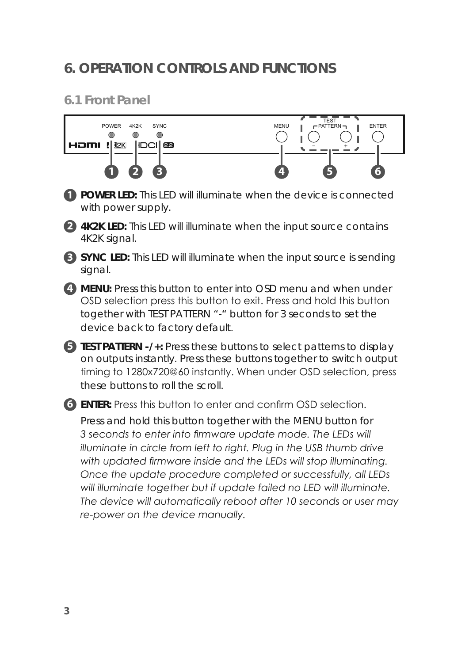## **6. OPERATION CONTROLS AND FUNCTIONS**

#### **6.1 Front Panel**

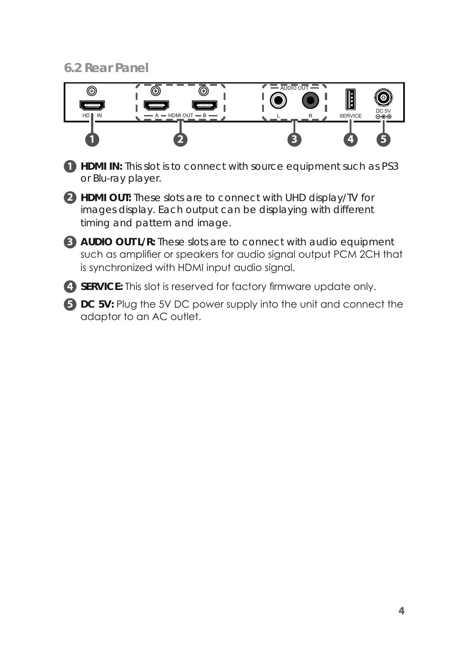#### **6.2 Rear Panel**



**1 HDMI IN:** This slot is to connect with source equipment such as PS3 or Blu-ray player.

**2 HDMI OUT:** These slots are to connect with UHD display/TV for images display. Each output can be displaying with different timing and pattern and image.

**3 AUDIO OUT L/R:** These slots are to connect with audio equipment such as amplifier or speakers for audio signal output PCM 2CH that is synchronized with HDMI input audio signal.

4 **SERVICE:** This slot is reserved for factory firmware update only.

**5 DC 5V:** Plug the 5V DC power supply into the unit and connect the adaptor to an AC outlet.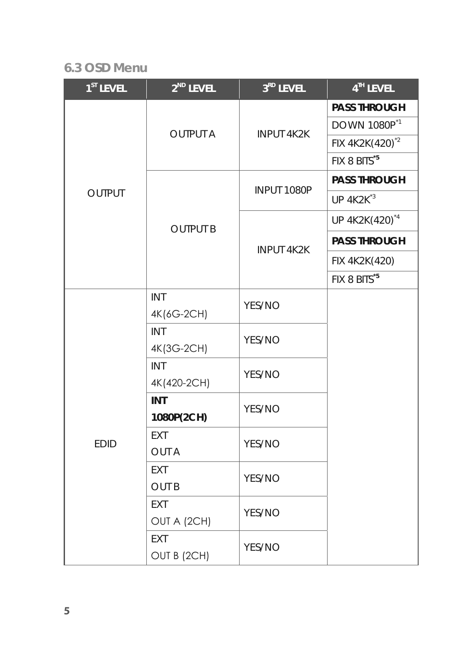#### **6.3 OSD Menu**

| 1 <sup>ST</sup> LEVEL | $2^{ND}$ LEVEL            | 3RD LEVEL                                                                          | $4TH$ LEVEL                     |
|-----------------------|---------------------------|------------------------------------------------------------------------------------|---------------------------------|
|                       |                           |                                                                                    | <b>PASS THROUGH</b>             |
|                       | <b>OUTPUT A</b>           | <b>INPUT 4K2K</b>                                                                  | <b>DOWN 1080P</b> <sup>*1</sup> |
|                       |                           |                                                                                    | FIX 4K2K(420) <sup>*2</sup>     |
|                       |                           |                                                                                    | FIX 8 BITS <sup>*5</sup>        |
|                       |                           |                                                                                    | <b>PASS THROUGH</b>             |
| <b>OUTPUT</b>         |                           |                                                                                    | <b>UP 4K2K<sup>*3</sup></b>     |
|                       | <b>OUTPUT B</b>           |                                                                                    | UP 4K2K(420) <sup>*4</sup>      |
|                       |                           | INPUT 1080P<br><b>INPUT 4K2K</b><br>YES/NO<br>YES/NO<br>YES/NO<br>YES/NO<br>YES/NO | <b>PASS THROUGH</b>             |
|                       |                           |                                                                                    | FIX 4K2K(420)                   |
|                       |                           |                                                                                    | FIX 8 BITS <sup>*5</sup>        |
|                       | <b>INT</b>                |                                                                                    |                                 |
|                       | 4K(6G-2CH)                |                                                                                    |                                 |
|                       | <b>INT</b>                |                                                                                    |                                 |
|                       | 4K(3G-2CH)<br><b>INT</b>  |                                                                                    |                                 |
|                       |                           |                                                                                    |                                 |
|                       | 4K(420-2CH)<br><b>INT</b> |                                                                                    |                                 |
|                       |                           |                                                                                    |                                 |
|                       | 1080P(2CH)                |                                                                                    |                                 |
| <b>EDID</b>           | EXT                       |                                                                                    |                                 |
|                       | <b>OUT A</b>              |                                                                                    |                                 |
|                       | <b>EXT</b>                | YES/NO                                                                             |                                 |
|                       | <b>OUTB</b>               |                                                                                    |                                 |
|                       | EXT                       | YES/NO                                                                             |                                 |
|                       | OUT A (2CH)               |                                                                                    |                                 |
|                       | <b>EXT</b>                | YES/NO                                                                             |                                 |
|                       | OUT B (2CH)               |                                                                                    |                                 |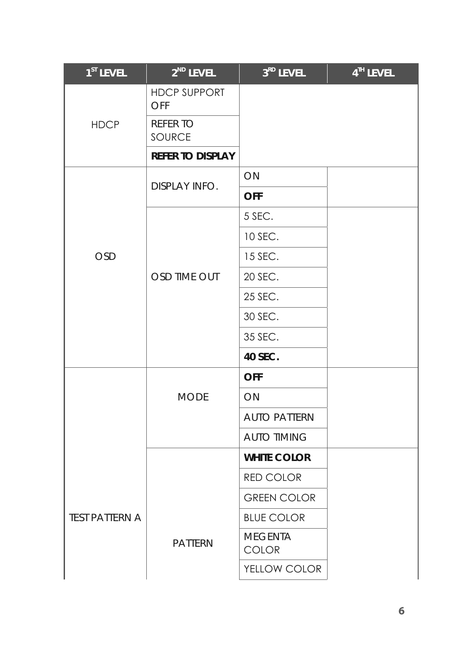| $1ST$ LEVEL           | $2ND$ LEVEL                       | 3 <sup>RD</sup> LEVEL          | 4 <sup>TH</sup> LEVEL |
|-----------------------|-----------------------------------|--------------------------------|-----------------------|
|                       | <b>HDCP SUPPORT</b><br><b>OFF</b> |                                |                       |
| <b>HDCP</b>           | <b>REFER TO</b><br>SOURCE         |                                |                       |
|                       | <b>REFER TO DISPLAY</b>           |                                |                       |
|                       | <b>DISPLAY INFO.</b>              | ON                             |                       |
|                       |                                   | <b>OFF</b>                     |                       |
|                       |                                   | 5 SEC.                         |                       |
|                       |                                   | 10 SEC.                        |                       |
| <b>OSD</b>            |                                   | 15 SEC.                        |                       |
|                       | OSD TIME OUT                      | 20 SEC.                        |                       |
|                       |                                   | 25 SEC.                        |                       |
|                       |                                   | 30 SEC.                        |                       |
|                       |                                   | 35 SEC.                        |                       |
|                       |                                   | 40 SEC.                        |                       |
|                       |                                   | <b>OFF</b>                     |                       |
|                       | <b>MODE</b>                       | ON                             |                       |
|                       |                                   | <b>AUTO PATTERN</b>            |                       |
|                       |                                   | <b>AUTO TIMING</b>             |                       |
|                       |                                   | <b>WHITE COLOR</b>             |                       |
|                       |                                   | RED COLOR                      |                       |
|                       |                                   | <b>GREEN COLOR</b>             |                       |
| <b>TEST PATTERN A</b> |                                   | <b>BLUE COLOR</b>              |                       |
|                       | <b>PATTERN</b>                    | <b>MEGENTA</b><br><b>COLOR</b> |                       |
|                       |                                   | YELLOW COLOR                   |                       |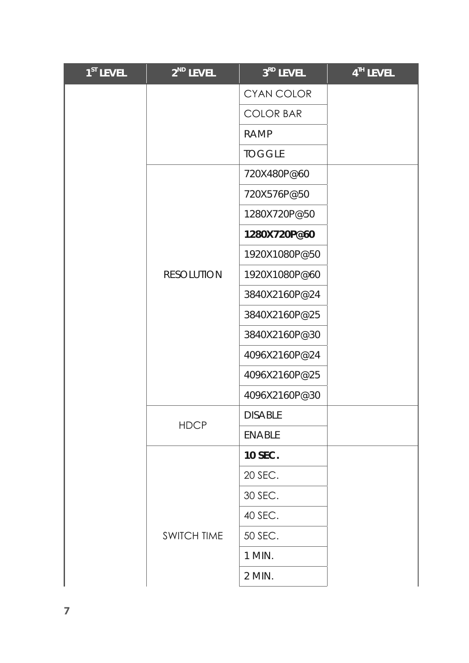| $1ST$ LEVEL | $2^{ND}$ LEVEL     | $3RD$ LEVEL                                      | $4^{\overline{\text{IH}}}$ LEVEL |
|-------------|--------------------|--------------------------------------------------|----------------------------------|
|             |                    | CYAN COLOR                                       |                                  |
|             |                    | <b>COLOR BAR</b>                                 |                                  |
|             |                    | <b>RAMP</b>                                      |                                  |
|             |                    | <b>TOGGLE</b>                                    |                                  |
|             |                    | 720X480P@60                                      |                                  |
|             |                    | 720X576P@50                                      |                                  |
|             |                    | 1280X720P@50                                     |                                  |
|             |                    | 1280X720P@60                                     |                                  |
|             |                    | 1920X1080P@50                                    |                                  |
|             | <b>RESOLUTION</b>  | 1920X1080P@60                                    |                                  |
|             |                    | 3840X2160P@24                                    |                                  |
|             |                    | 3840X2160P@25                                    |                                  |
|             |                    | 3840X2160P@30                                    |                                  |
|             |                    | 4096X2160P@24                                    |                                  |
|             |                    | 4096X2160P@25<br>4096X2160P@30<br><b>DISABLE</b> |                                  |
|             |                    |                                                  |                                  |
|             |                    |                                                  |                                  |
|             | <b>HDCP</b>        | <b>ENABLE</b>                                    |                                  |
|             |                    | 10 SEC.                                          |                                  |
|             |                    | 20 SEC.                                          |                                  |
|             |                    | 30 SEC.                                          |                                  |
|             |                    | 40 SEC.                                          |                                  |
|             | <b>SWITCH TIME</b> | 50 SEC.                                          |                                  |
|             |                    | 1 MIN.                                           |                                  |
|             |                    | 2 MIN.                                           |                                  |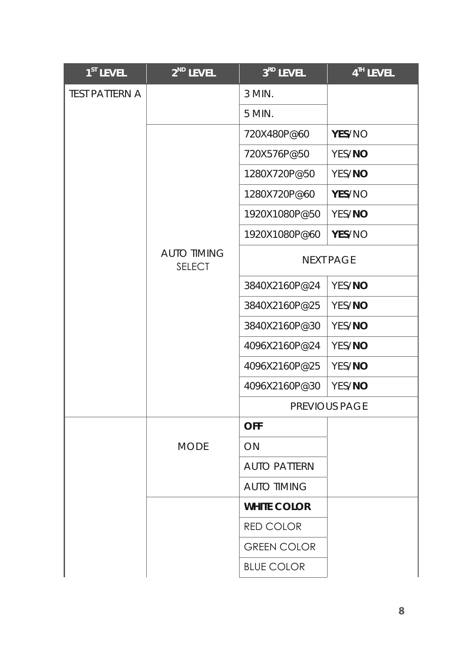| $1ST$ LEVEL           | $2ND$ LEVEL                         | $3^{\overline{\text{RD}}}$ LEVEL | $4TH$ LEVEL          |
|-----------------------|-------------------------------------|----------------------------------|----------------------|
| <b>TEST PATTERN A</b> |                                     | 3 MIN.                           |                      |
|                       |                                     | 5 MIN.                           |                      |
|                       |                                     | 720X480P@60                      | YES/NO               |
|                       |                                     | 720X576P@50                      | YES/NO               |
|                       |                                     | 1280X720P@50                     | YES/NO               |
|                       |                                     | 1280X720P@60                     | YES/NO               |
|                       |                                     | 1920X1080P@50                    | YES/NO               |
|                       |                                     | 1920X1080P@60                    | YES/NO               |
|                       | <b>AUTO TIMING</b><br><b>SELECT</b> |                                  | <b>NEXT PAGE</b>     |
|                       |                                     | 3840X2160P@24                    | YES/NO               |
|                       |                                     | 3840X2160P@25<br>YES/NO          |                      |
|                       |                                     | 3840X2160P@30                    | YES/NO               |
|                       |                                     | 4096X2160P@24                    | YES/NO               |
|                       |                                     | 4096X2160P@25<br>YES/NO          |                      |
|                       |                                     | 4096X2160P@30                    | YES/NO               |
|                       |                                     |                                  | <b>PREVIOUS PAGE</b> |
|                       |                                     | <b>OFF</b>                       |                      |
|                       | <b>MODE</b>                         | ON                               |                      |
|                       |                                     | <b>AUTO PATTERN</b>              |                      |
|                       |                                     | <b>AUTO TIMING</b>               |                      |
|                       |                                     | <b>WHITE COLOR</b>               |                      |
|                       |                                     | <b>RED COLOR</b>                 |                      |
|                       |                                     | <b>GREEN COLOR</b>               |                      |
|                       |                                     | <b>BLUE COLOR</b>                |                      |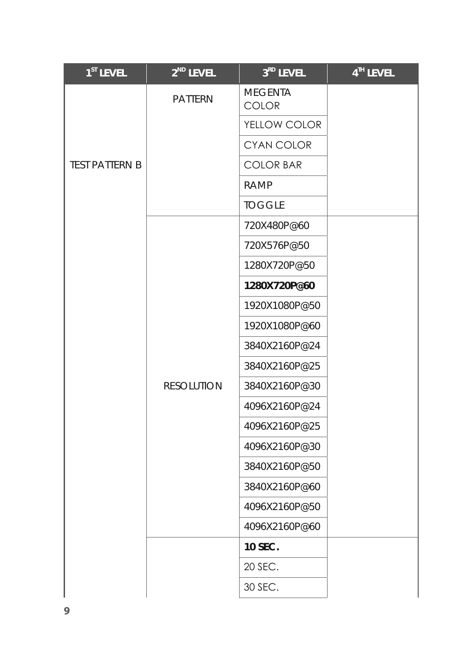| $1ST$ LEVEL           | $2ND$ LEVEL       | 3 <sup>RD</sup> LEVEL          | $4^{\overline{1}\overline{1}}$ LEVEL |
|-----------------------|-------------------|--------------------------------|--------------------------------------|
|                       | <b>PATTERN</b>    | <b>MEGENTA</b><br><b>COLOR</b> |                                      |
|                       |                   | YELLOW COLOR                   |                                      |
|                       |                   | <b>CYAN COLOR</b>              |                                      |
| <b>TEST PATTERN B</b> | <b>RESOLUTION</b> | <b>COLOR BAR</b>               |                                      |
|                       |                   | <b>RAMP</b>                    |                                      |
|                       |                   | <b>TOGGLE</b>                  |                                      |
|                       |                   | 720X480P@60                    |                                      |
|                       |                   | 720X576P@50                    |                                      |
|                       |                   | 1280X720P@50                   |                                      |
|                       |                   | 1280X720P@60                   |                                      |
|                       |                   | 1920X1080P@50                  |                                      |
|                       |                   | 1920X1080P@60                  |                                      |
|                       |                   | 3840X2160P@24                  |                                      |
|                       |                   | 3840X2160P@25                  |                                      |
|                       |                   | 3840X2160P@30                  |                                      |
|                       |                   | 4096X2160P@24                  |                                      |
|                       |                   | 4096X2160P@25                  |                                      |
|                       |                   | 4096X2160P@30                  |                                      |
|                       |                   | 3840X2160P@50                  |                                      |
|                       |                   | 3840X2160P@60                  |                                      |
|                       |                   | 4096X2160P@50                  |                                      |
|                       |                   | 4096X2160P@60                  |                                      |
|                       |                   | 10 SEC.                        |                                      |
|                       |                   | 20 SEC.                        |                                      |
|                       |                   | 30 SEC.                        |                                      |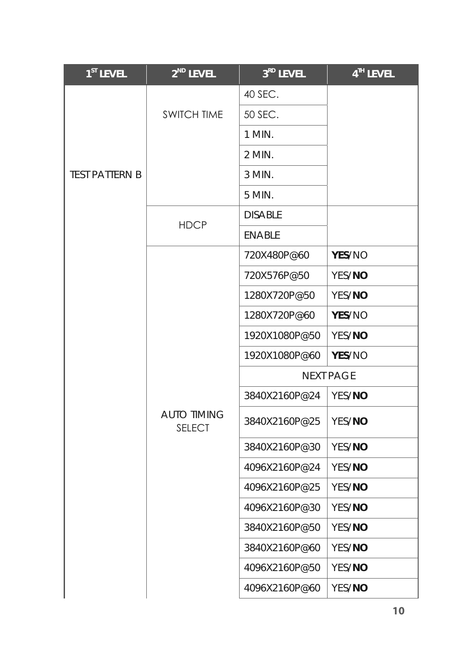| $1ST$ LEVEL           | $2ND$ LEVEL                         | $3RD$ LEVEL           | $4TH$ LEVEL |  |
|-----------------------|-------------------------------------|-----------------------|-------------|--|
|                       |                                     | 40 SEC.               |             |  |
|                       | <b>SWITCH TIME</b>                  | 50 SEC.               |             |  |
|                       |                                     | 1 MIN.                |             |  |
|                       |                                     | 2 MIN.                |             |  |
| <b>TEST PATTERN B</b> |                                     | 3 MIN.                |             |  |
|                       |                                     | 5 MIN.                |             |  |
|                       |                                     | <b>DISABLE</b>        |             |  |
|                       | <b>HDCP</b>                         | <b>ENABLE</b>         |             |  |
|                       |                                     | 720X480P@60           | YES/NO      |  |
|                       |                                     | 720X576P@50<br>YES/NO |             |  |
|                       |                                     | 1280X720P@50          | YES/NO      |  |
|                       |                                     | 1280X720P@60          | YES/NO      |  |
|                       |                                     | 1920X1080P@50         | YES/NO      |  |
|                       |                                     | 1920X1080P@60         | YES/NO      |  |
|                       |                                     | <b>NEXT PAGE</b>      |             |  |
|                       |                                     | 3840X2160P@24         | YES/NO      |  |
|                       | <b>AUTO TIMING</b><br><b>SELECT</b> | 3840X2160P@25         | YES/NO      |  |
|                       |                                     | 3840X2160P@30         | YES/NO      |  |
|                       |                                     | 4096X2160P@24         | YES/NO      |  |
|                       |                                     | 4096X2160P@25         | YES/NO      |  |
|                       |                                     | 4096X2160P@30         | YES/NO      |  |
|                       |                                     | 3840X2160P@50         | YES/NO      |  |
|                       |                                     | 3840X2160P@60         | YES/NO      |  |
|                       |                                     | 4096X2160P@50         | YES/NO      |  |
|                       |                                     | 4096X2160P@60         | YES/NO      |  |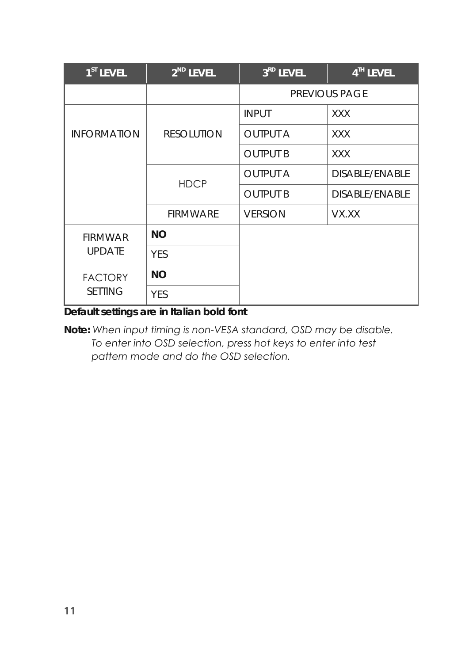| $1ST$ LEVEL        | $2^{\text{{\tiny MD}}}$ LEVEL | $3RD$ LEVEL     | $4TH$ LEVEL           |
|--------------------|-------------------------------|-----------------|-----------------------|
|                    |                               |                 | <b>PREVIOUS PAGE</b>  |
|                    |                               | <b>INPUT</b>    | <b>XXX</b>            |
| <b>INFORMATION</b> | <b>RESOLUTION</b>             | <b>OUTPUT A</b> | <b>XXX</b>            |
|                    |                               | <b>OUTPUT B</b> | <b>XXX</b>            |
|                    | <b>HDCP</b>                   | <b>OUTPUT A</b> | <b>DISABLE/ENABLE</b> |
|                    |                               | <b>OUTPUT B</b> | <b>DISABLE/ENABLE</b> |
|                    | <b>FIRMWARE</b>               | <b>VERSION</b>  | VX.XX                 |
| <b>FIRMWAR</b>     | <b>NO</b>                     |                 |                       |
| <b>UPDATE</b>      | <b>YES</b>                    |                 |                       |
| <b>FACTORY</b>     | <b>NO</b>                     |                 |                       |
| <b>SETTING</b>     | <b>YES</b>                    |                 |                       |

*Default settings are in Italian bold font*

*Note:* When input timing is non-VESA standard, OSD may be disable. To enter into OSD selection, press hot keys to enter into test pattern mode and do the OSD selection.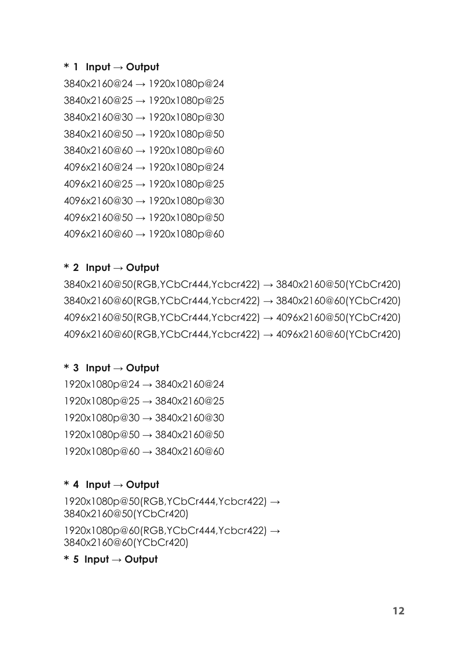#### $*$  1 Input  $\rightarrow$  Output

3840x2160@24→1920x1080p@24 3840x2160@25→1920x1080p@25  $3840x2160@30 \rightarrow 1920x1080p@30$ 3840x2160@50 → 1920x1080p@50  $3840x2160@60 \rightarrow 1920x1080p@60$  $4096x2160@24 \rightarrow 1920x1080p@24$  $4096x2160@25 \rightarrow 1920x1080p@25$  $4096x2160@30 \rightarrow 1920x1080p@30$  $4096x2160@50 \rightarrow 1920x1080p@50$  $4096x2160@60 \rightarrow 1920x1080p@60$ 

#### $*$  2 Input  $\rightarrow$  Output

3840x2160@50(RGB,YCbCr444,Ycbcr422) → 3840x2160@50(YCbCr420) 3840x2160@60(RGB,YCbCr444,Ycbcr422) → 3840x2160@60(YCbCr420) 4096x2160@50(RGB, YCbCr444, Ycbcr422) → 4096x2160@50(YCbCr420) 4096x2160@60(RGB, YCbCr444, Ycbcr422) → 4096x2160@60(YCbCr420)

#### $*$  3 Input  $\rightarrow$  Output

1920x1080p@24→3840x2160@24  $1920x1080p@25 \rightarrow 3840x2160@25$ 1920x1080p@30→3840x2160@30  $1920x1080p@50 \rightarrow 3840x2160@50$  $1920x1080p@60 \rightarrow 3840x2160@60$ 

#### $*$  4 Input  $\rightarrow$  Output

1920x1080p@50(RGB, YCbCr444, Ycbcr422) → 3840x2160@50(YCbCr420) 1920x1080p@60(RGB, YCbCr444, Ycbcr422) → 3840x2160@60(YCbCr420)

 $*$  5 Input  $\rightarrow$  Output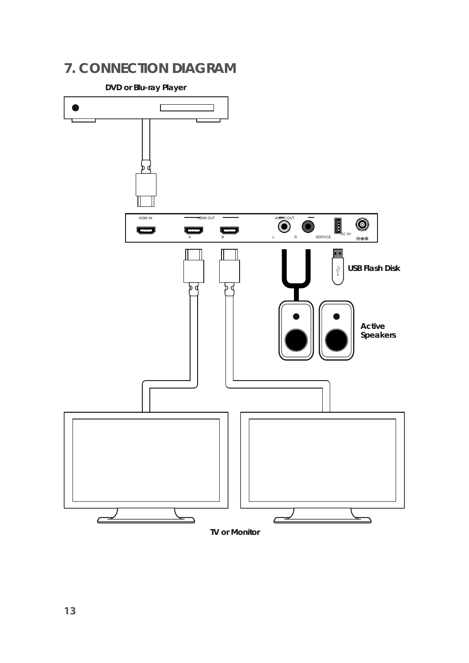### **7. CONNECTION DIAGRAM**

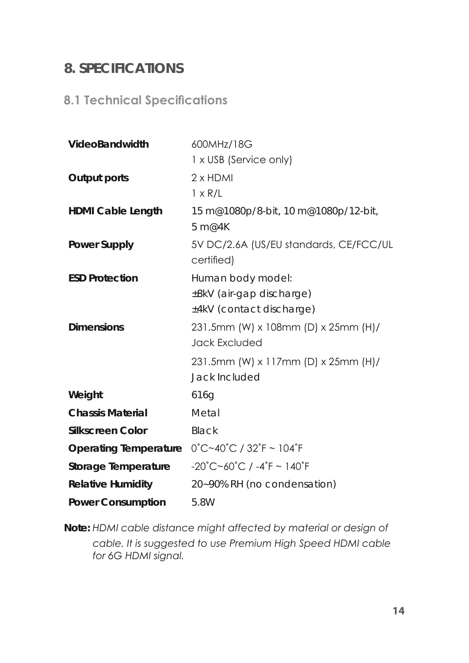### **8. SPECIFICATIONS**

#### **8.1 Technical Specifications**

| VideoBandwidth               | 600MHz/18G                                                                |
|------------------------------|---------------------------------------------------------------------------|
|                              | 1 x USB (Service only)                                                    |
| <b>Output ports</b>          | $2 \times$ HDMI                                                           |
|                              | $1 \times R/L$                                                            |
| <b>HDMI Cable Length</b>     | 15 m@1080p/8-bit, 10 m@1080p/12-bit,<br>5 m@4K                            |
| <b>Power Supply</b>          | 5V DC/2.6A (US/EU standards, CE/FCC/UL<br>certified)                      |
| <b>ESD Protection</b>        | Human body model:<br>±8kV (air-gap discharge)<br>±4kV (contact discharge) |
| <b>Dimensions</b>            | 231.5mm (W) x 108mm (D) x 25mm (H)/<br><b>Jack Excluded</b>               |
|                              | 231.5mm (W) x 117mm (D) x 25mm (H)/<br>Jack Included                      |
| Weight                       | 616g                                                                      |
| <b>Chassis Material</b>      | Metal                                                                     |
| <b>Silkscreen Color</b>      | <b>Black</b>                                                              |
| <b>Operating Temperature</b> | $0^{\circ}$ C~40 $^{\circ}$ C / 32 $^{\circ}$ F ~ 104 $^{\circ}$ F        |
| <b>Storage Temperature</b>   | $-20^{\circ}$ C~60 $^{\circ}$ C / $-4^{\circ}$ F ~ 140 $^{\circ}$ F       |
| <b>Relative Humidity</b>     | 20~90% RH (no condensation)                                               |
| <b>Power Consumption</b>     | 5.8W                                                                      |

Note: HDMI cable distance might affected by material or design of cable. It is suggested to use Premium High Speed HDMI cable for 6G HDMI signal.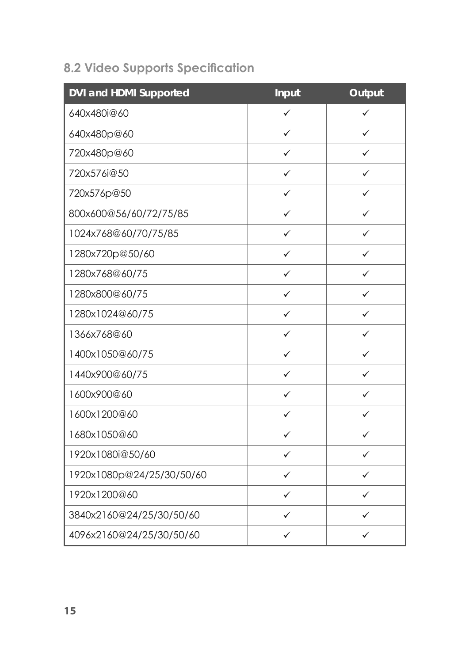## **8.2 Video Supports Specification**

| <b>DVI</b> and HDMI Supported | Input        | Output       |
|-------------------------------|--------------|--------------|
| 640x480i@60                   | $\checkmark$ | $\checkmark$ |
| 640x480p@60                   | $\checkmark$ | $\checkmark$ |
| 720x480p@60                   | $\checkmark$ | $\checkmark$ |
| 720x576i@50                   | $\checkmark$ | $\checkmark$ |
| 720x576p@50                   | ✓            | ✓            |
| 800x600@56/60/72/75/85        | $\checkmark$ | $\checkmark$ |
| 1024x768@60/70/75/85          | $\checkmark$ | $\checkmark$ |
| 1280x720p@50/60               | $\checkmark$ | $\checkmark$ |
| 1280x768@60/75                | $\checkmark$ | $\checkmark$ |
| 1280x800@60/75                | $\checkmark$ | $\checkmark$ |
| 1280x1024@60/75               | $\checkmark$ | $\checkmark$ |
| 1366x768@60                   | ✓            | $\checkmark$ |
| 1400x1050@60/75               | ✓            | ✓            |
| 1440x900@60/75                | $\checkmark$ | $\checkmark$ |
| 1600x900@60                   | $\checkmark$ | $\checkmark$ |
| 1600x1200@60                  | $\checkmark$ | $\checkmark$ |
| 1680x1050@60                  | ✓            | ✓            |
| 1920x1080i@50/60              | ✓            | ✓            |
| 1920x1080p@24/25/30/50/60     | ✓            | ✓            |
| 1920x1200@60                  | ✓            | ✓            |
| 3840x2160@24/25/30/50/60      | ✓            |              |
| 4096x2160@24/25/30/50/60      | ✓            | ✓            |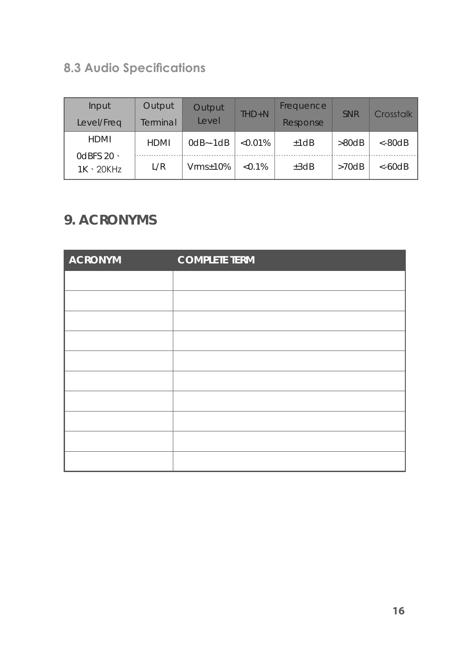## **8.3 Audio Specifications**

| Input<br>Level/Freq                  | Output<br>Terminal | Output<br>Level    | $THD + N$  | Frequence<br>Response | <b>SNR</b> | <b>Crosstalk</b> |
|--------------------------------------|--------------------|--------------------|------------|-----------------------|------------|------------------|
| <b>HDMI</b>                          | <b>HDMI</b>        | $0$ dB $\sim$ -1dB | $< 0.01\%$ | ±1dB                  | >80dB      | $< -80dB$        |
| 0dBFS 20 $\cdot$<br>$1K \cdot 20KHz$ | L/R                | $V$ rms $\pm$ 10%  | $< 0.1\%$  | ±3dB                  | >70dB      | $<$ -60dB        |

### 9. ACRONYMS

| <b>ACRONYM</b> | <b>COMPLETE TERM</b> |
|----------------|----------------------|
|                |                      |
|                |                      |
|                |                      |
|                |                      |
|                |                      |
|                |                      |
|                |                      |
|                |                      |
|                |                      |
|                |                      |